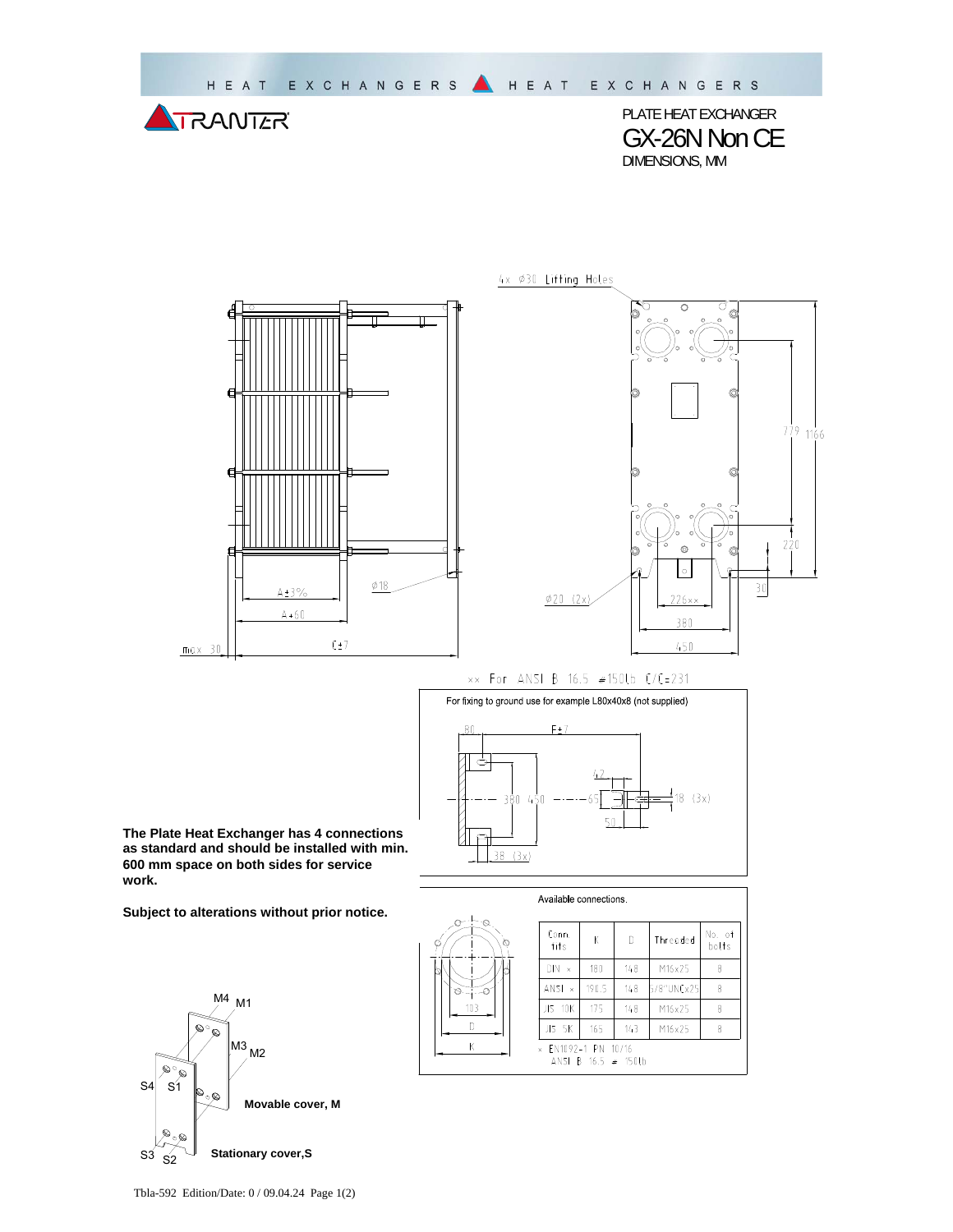

PLATE HEAT EXCHANGER GX-26N Non CE DIMENSIONS, MM



 $779$  1166  $220$  $\mid \circ \mid$  $\overline{30}$  $\emptyset$ 20 (2x)  $226 \times x$ 380 450

xx For ANSI B 16.5 #150Lb C/C=231

4x Ø30 Lifting Holes



**The Plate Heat Exchanger has 4 connections as standard and should be installed with min. 600 mm space on both sides for service work.** 

**Subject to alterations without prior notice.**



| Available connections.                                          |                                |       |     |            |                 |  |  |
|-----------------------------------------------------------------|--------------------------------|-------|-----|------------|-----------------|--|--|
| ۰Q.<br>o<br>ø<br>¢                                              | Conn.<br>fits                  | К     | D   | Threaded   | No. of<br>bolts |  |  |
|                                                                 | DIN<br>$\boldsymbol{\times}$   | 180   | 148 | M16x25     | 8               |  |  |
| O.                                                              | ANSI.<br>$\boldsymbol{\times}$ | 190.5 | 148 | 5/8"UNCx25 | 8               |  |  |
| 103                                                             | JIS 10K                        | 175   | 148 | M16x25     | 8               |  |  |
|                                                                 | JIS 5K                         | 165   | 143 | M16x25     | 8               |  |  |
| Κ<br>EN1092-1 PN 10/16<br>$\times$<br>ANSI B $16.5 \neq 150$ lb |                                |       |     |            |                 |  |  |